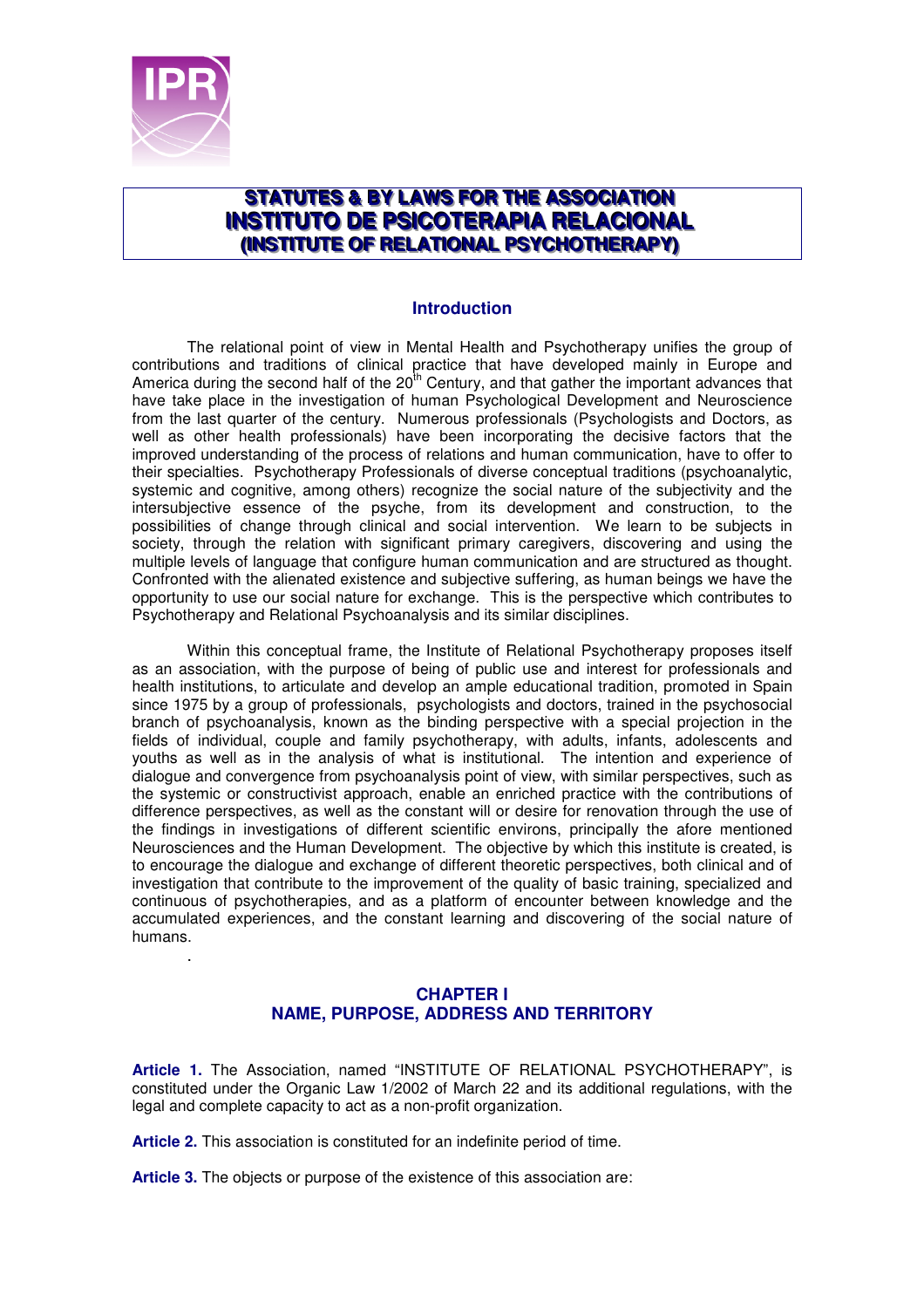

.

# STATUTES & BY LAWS FOR THE ASSOCIATION **INSTITUTO DE PSICOTERAPIA RELACIONAL (INSTITUTE OF RELATIONAL PSYCHOTHERAPY)**

#### **Introduction**

The relational point of view in Mental Health and Psychotherapy unifies the group of contributions and traditions of clinical practice that have developed mainly in Europe and America during the second half of the  $20<sup>th</sup>$  Century, and that gather the important advances that have take place in the investigation of human Psychological Development and Neuroscience from the last quarter of the century. Numerous professionals (Psychologists and Doctors, as well as other health professionals) have been incorporating the decisive factors that the improved understanding of the process of relations and human communication, have to offer to their specialties. Psychotherapy Professionals of diverse conceptual traditions (psychoanalytic, systemic and cognitive, among others) recognize the social nature of the subjectivity and the intersubjective essence of the psyche, from its development and construction, to the possibilities of change through clinical and social intervention. We learn to be subjects in society, through the relation with significant primary caregivers, discovering and using the multiple levels of language that configure human communication and are structured as thought. Confronted with the alienated existence and subjective suffering, as human beings we have the opportunity to use our social nature for exchange. This is the perspective which contributes to Psychotherapy and Relational Psychoanalysis and its similar disciplines.

 Within this conceptual frame, the Institute of Relational Psychotherapy proposes itself as an association, with the purpose of being of public use and interest for professionals and health institutions, to articulate and develop an ample educational tradition, promoted in Spain since 1975 by a group of professionals, psychologists and doctors, trained in the psychosocial branch of psychoanalysis, known as the binding perspective with a special projection in the fields of individual, couple and family psychotherapy, with adults, infants, adolescents and youths as well as in the analysis of what is institutional. The intention and experience of dialogue and convergence from psychoanalysis point of view, with similar perspectives, such as the systemic or constructivist approach, enable an enriched practice with the contributions of difference perspectives, as well as the constant will or desire for renovation through the use of the findings in investigations of different scientific environs, principally the afore mentioned Neurosciences and the Human Development. The objective by which this institute is created, is to encourage the dialogue and exchange of different theoretic perspectives, both clinical and of investigation that contribute to the improvement of the quality of basic training, specialized and continuous of psychotherapies, and as a platform of encounter between knowledge and the accumulated experiences, and the constant learning and discovering of the social nature of humans.

### **CHAPTER I NAME, PURPOSE, ADDRESS AND TERRITORY**

**Article 1.** The Association, named "INSTITUTE OF RELATIONAL PSYCHOTHERAPY", is constituted under the Organic Law 1/2002 of March 22 and its additional regulations, with the legal and complete capacity to act as a non-profit organization.

**Article 2.** This association is constituted for an indefinite period of time.

**Article 3.** The objects or purpose of the existence of this association are: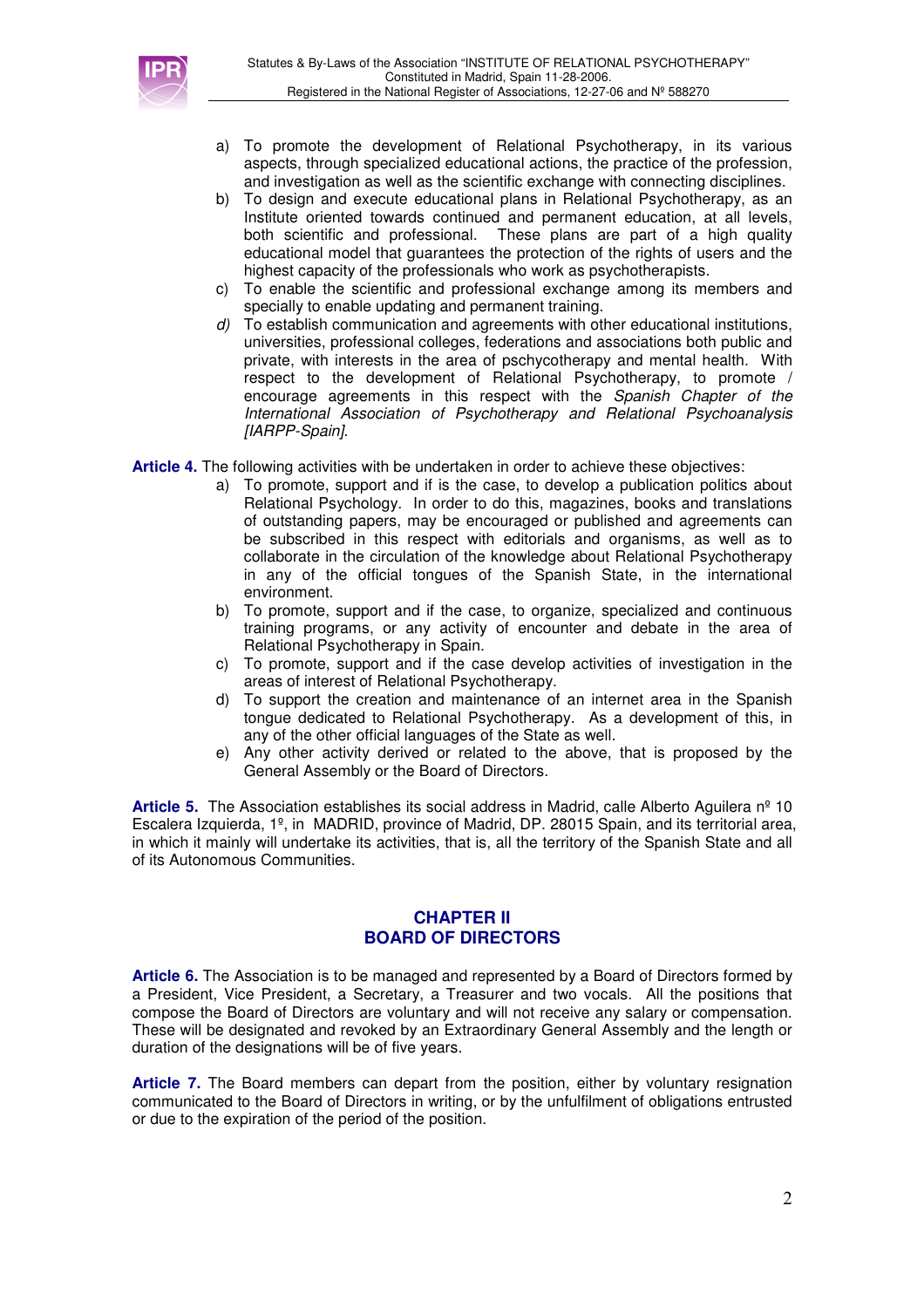

- a) To promote the development of Relational Psychotherapy, in its various aspects, through specialized educational actions, the practice of the profession, and investigation as well as the scientific exchange with connecting disciplines.
- b) To design and execute educational plans in Relational Psychotherapy, as an Institute oriented towards continued and permanent education, at all levels, both scientific and professional. These plans are part of a high quality educational model that guarantees the protection of the rights of users and the highest capacity of the professionals who work as psychotherapists.
- c) To enable the scientific and professional exchange among its members and specially to enable updating and permanent training.
- d) To establish communication and agreements with other educational institutions, universities, professional colleges, federations and associations both public and private, with interests in the area of pschycotherapy and mental health. With respect to the development of Relational Psychotherapy, to promote / encourage agreements in this respect with the Spanish Chapter of the International Association of Psychotherapy and Relational Psychoanalysis [IARPP-Spain].
- **Article 4.** The following activities with be undertaken in order to achieve these objectives:
	- a) To promote, support and if is the case, to develop a publication politics about Relational Psychology. In order to do this, magazines, books and translations of outstanding papers, may be encouraged or published and agreements can be subscribed in this respect with editorials and organisms, as well as to collaborate in the circulation of the knowledge about Relational Psychotherapy in any of the official tongues of the Spanish State, in the international environment.
	- b) To promote, support and if the case, to organize, specialized and continuous training programs, or any activity of encounter and debate in the area of Relational Psychotherapy in Spain.
	- c) To promote, support and if the case develop activities of investigation in the areas of interest of Relational Psychotherapy.
	- d) To support the creation and maintenance of an internet area in the Spanish tongue dedicated to Relational Psychotherapy. As a development of this, in any of the other official languages of the State as well.
	- e) Any other activity derived or related to the above, that is proposed by the General Assembly or the Board of Directors.

**Article 5.** The Association establishes its social address in Madrid, calle Alberto Aguilera nº 10 Escalera Izquierda, 1º, in MADRID, province of Madrid, DP. 28015 Spain, and its territorial area, in which it mainly will undertake its activities, that is, all the territory of the Spanish State and all of its Autonomous Communities.

#### **CHAPTER II BOARD OF DIRECTORS**

**Article 6.** The Association is to be managed and represented by a Board of Directors formed by a President, Vice President, a Secretary, a Treasurer and two vocals. All the positions that compose the Board of Directors are voluntary and will not receive any salary or compensation. These will be designated and revoked by an Extraordinary General Assembly and the length or duration of the designations will be of five years.

**Article 7.** The Board members can depart from the position, either by voluntary resignation communicated to the Board of Directors in writing, or by the unfulfilment of obligations entrusted or due to the expiration of the period of the position.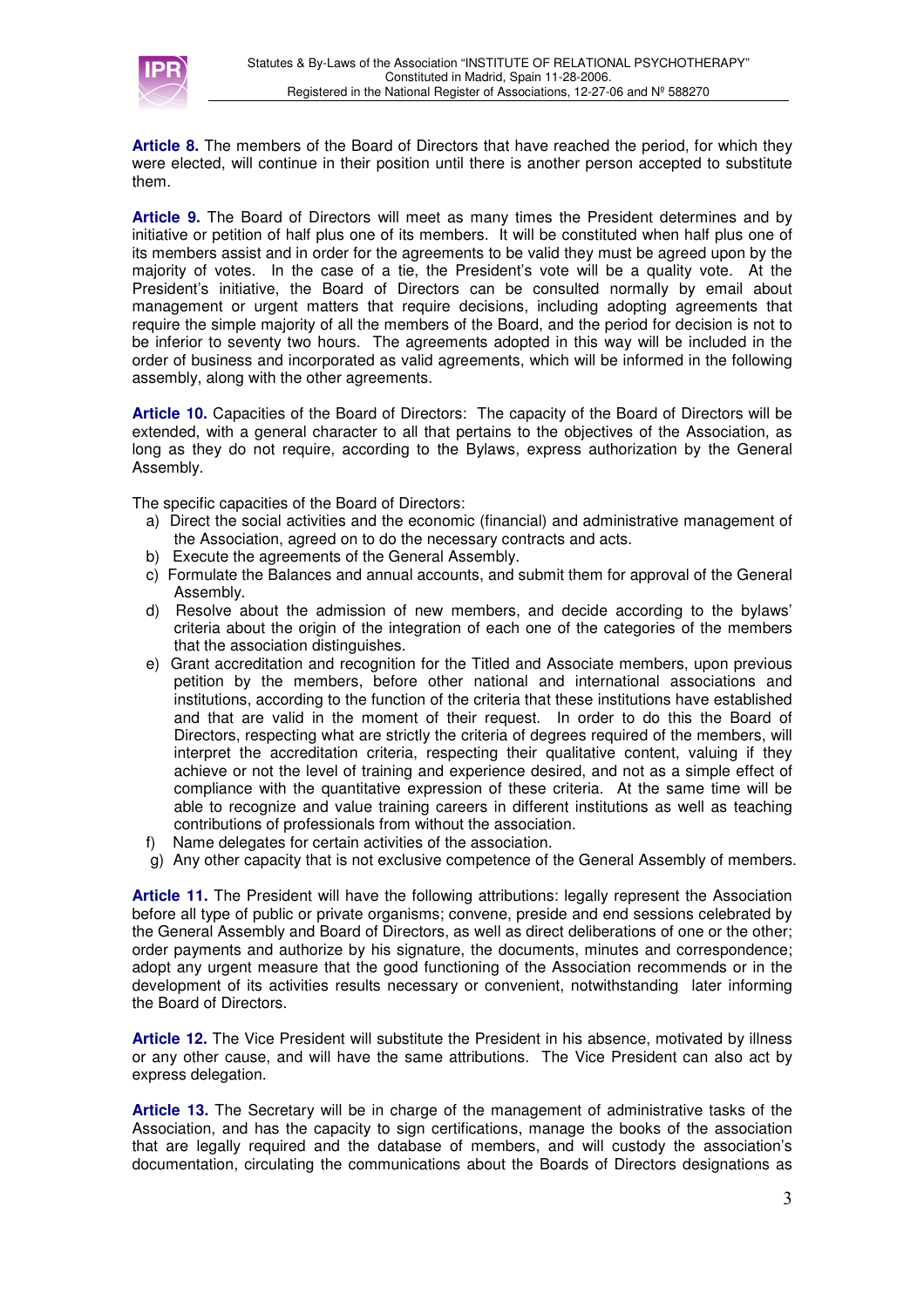

**Article 8.** The members of the Board of Directors that have reached the period, for which they were elected, will continue in their position until there is another person accepted to substitute them.

**Article 9.** The Board of Directors will meet as many times the President determines and by initiative or petition of half plus one of its members. It will be constituted when half plus one of its members assist and in order for the agreements to be valid they must be agreed upon by the majority of votes. In the case of a tie, the President's vote will be a quality vote. At the President's initiative, the Board of Directors can be consulted normally by email about management or urgent matters that require decisions, including adopting agreements that require the simple majority of all the members of the Board, and the period for decision is not to be inferior to seventy two hours. The agreements adopted in this way will be included in the order of business and incorporated as valid agreements, which will be informed in the following assembly, along with the other agreements.

**Article 10.** Capacities of the Board of Directors: The capacity of the Board of Directors will be extended, with a general character to all that pertains to the objectives of the Association, as long as they do not require, according to the Bylaws, express authorization by the General Assembly.

The specific capacities of the Board of Directors:

- a) Direct the social activities and the economic (financial) and administrative management of the Association, agreed on to do the necessary contracts and acts.
- b) Execute the agreements of the General Assembly.
- c) Formulate the Balances and annual accounts, and submit them for approval of the General Assembly.
- d) Resolve about the admission of new members, and decide according to the bylaws' criteria about the origin of the integration of each one of the categories of the members that the association distinguishes.
- e) Grant accreditation and recognition for the Titled and Associate members, upon previous petition by the members, before other national and international associations and institutions, according to the function of the criteria that these institutions have established and that are valid in the moment of their request. In order to do this the Board of Directors, respecting what are strictly the criteria of degrees required of the members, will interpret the accreditation criteria, respecting their qualitative content, valuing if they achieve or not the level of training and experience desired, and not as a simple effect of compliance with the quantitative expression of these criteria. At the same time will be able to recognize and value training careers in different institutions as well as teaching contributions of professionals from without the association.
- f) Name delegates for certain activities of the association.
- g) Any other capacity that is not exclusive competence of the General Assembly of members.

**Article 11.** The President will have the following attributions: legally represent the Association before all type of public or private organisms; convene, preside and end sessions celebrated by the General Assembly and Board of Directors, as well as direct deliberations of one or the other; order payments and authorize by his signature, the documents, minutes and correspondence; adopt any urgent measure that the good functioning of the Association recommends or in the development of its activities results necessary or convenient, notwithstanding later informing the Board of Directors.

**Article 12.** The Vice President will substitute the President in his absence, motivated by illness or any other cause, and will have the same attributions. The Vice President can also act by express delegation.

**Article 13.** The Secretary will be in charge of the management of administrative tasks of the Association, and has the capacity to sign certifications, manage the books of the association that are legally required and the database of members, and will custody the association's documentation, circulating the communications about the Boards of Directors designations as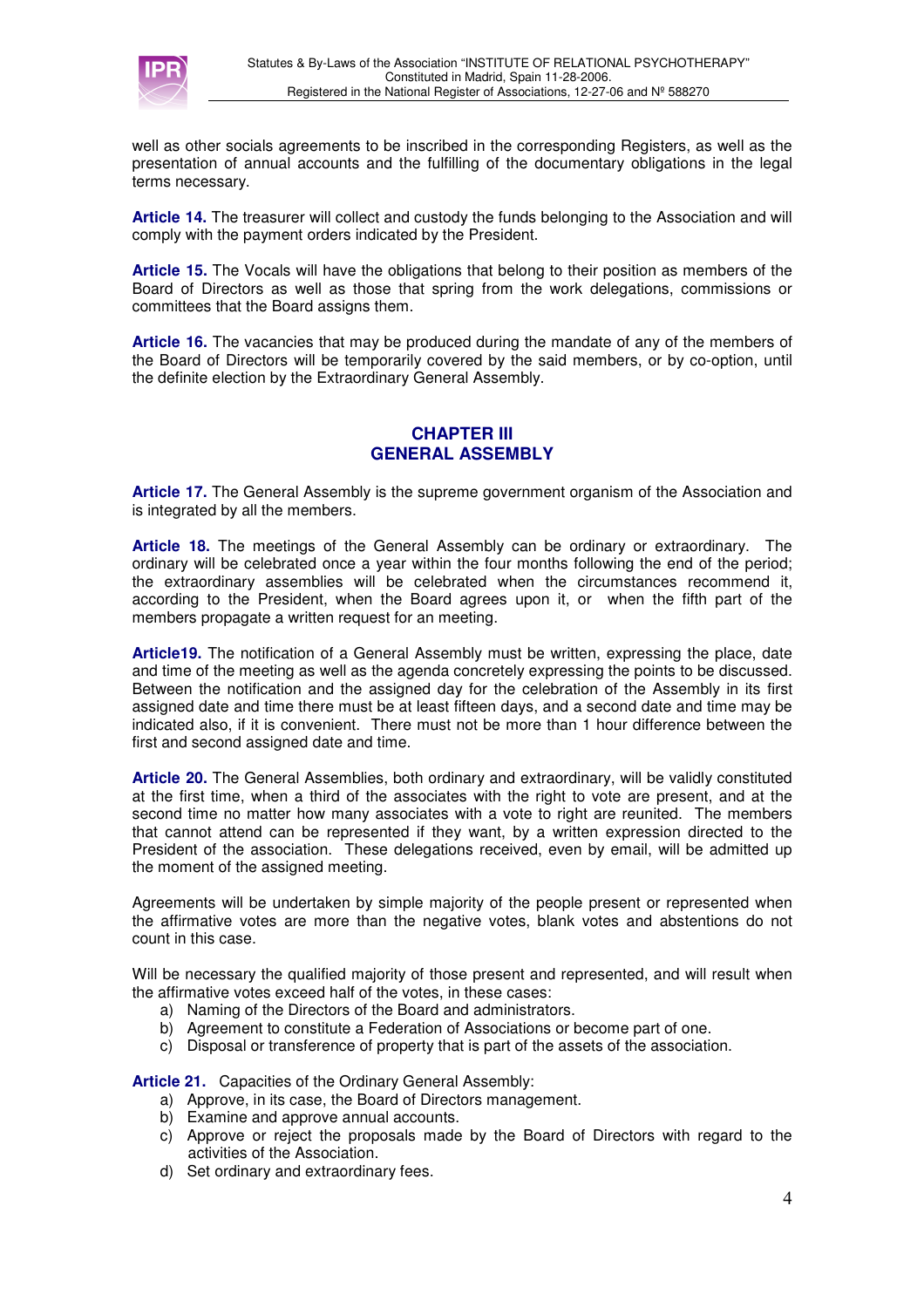

well as other socials agreements to be inscribed in the corresponding Registers, as well as the presentation of annual accounts and the fulfilling of the documentary obligations in the legal terms necessary.

**Article 14.** The treasurer will collect and custody the funds belonging to the Association and will comply with the payment orders indicated by the President.

**Article 15.** The Vocals will have the obligations that belong to their position as members of the Board of Directors as well as those that spring from the work delegations, commissions or committees that the Board assigns them.

**Article 16.** The vacancies that may be produced during the mandate of any of the members of the Board of Directors will be temporarily covered by the said members, or by co-option, until the definite election by the Extraordinary General Assembly.

## **CHAPTER III GENERAL ASSEMBLY**

**Article 17.** The General Assembly is the supreme government organism of the Association and is integrated by all the members.

**Article 18.** The meetings of the General Assembly can be ordinary or extraordinary. The ordinary will be celebrated once a year within the four months following the end of the period; the extraordinary assemblies will be celebrated when the circumstances recommend it, according to the President, when the Board agrees upon it, or when the fifth part of the members propagate a written request for an meeting.

**Article19.** The notification of a General Assembly must be written, expressing the place, date and time of the meeting as well as the agenda concretely expressing the points to be discussed. Between the notification and the assigned day for the celebration of the Assembly in its first assigned date and time there must be at least fifteen days, and a second date and time may be indicated also, if it is convenient. There must not be more than 1 hour difference between the first and second assigned date and time.

**Article 20.** The General Assemblies, both ordinary and extraordinary, will be validly constituted at the first time, when a third of the associates with the right to vote are present, and at the second time no matter how many associates with a vote to right are reunited. The members that cannot attend can be represented if they want, by a written expression directed to the President of the association. These delegations received, even by email, will be admitted up the moment of the assigned meeting.

Agreements will be undertaken by simple majority of the people present or represented when the affirmative votes are more than the negative votes, blank votes and abstentions do not count in this case.

Will be necessary the qualified majority of those present and represented, and will result when the affirmative votes exceed half of the votes, in these cases:

- a) Naming of the Directors of the Board and administrators.
- b) Agreement to constitute a Federation of Associations or become part of one.
- c) Disposal or transference of property that is part of the assets of the association.

**Article 21.** Capacities of the Ordinary General Assembly:

- a) Approve, in its case, the Board of Directors management.
- b) Examine and approve annual accounts.
- c) Approve or reject the proposals made by the Board of Directors with regard to the activities of the Association.
- d) Set ordinary and extraordinary fees.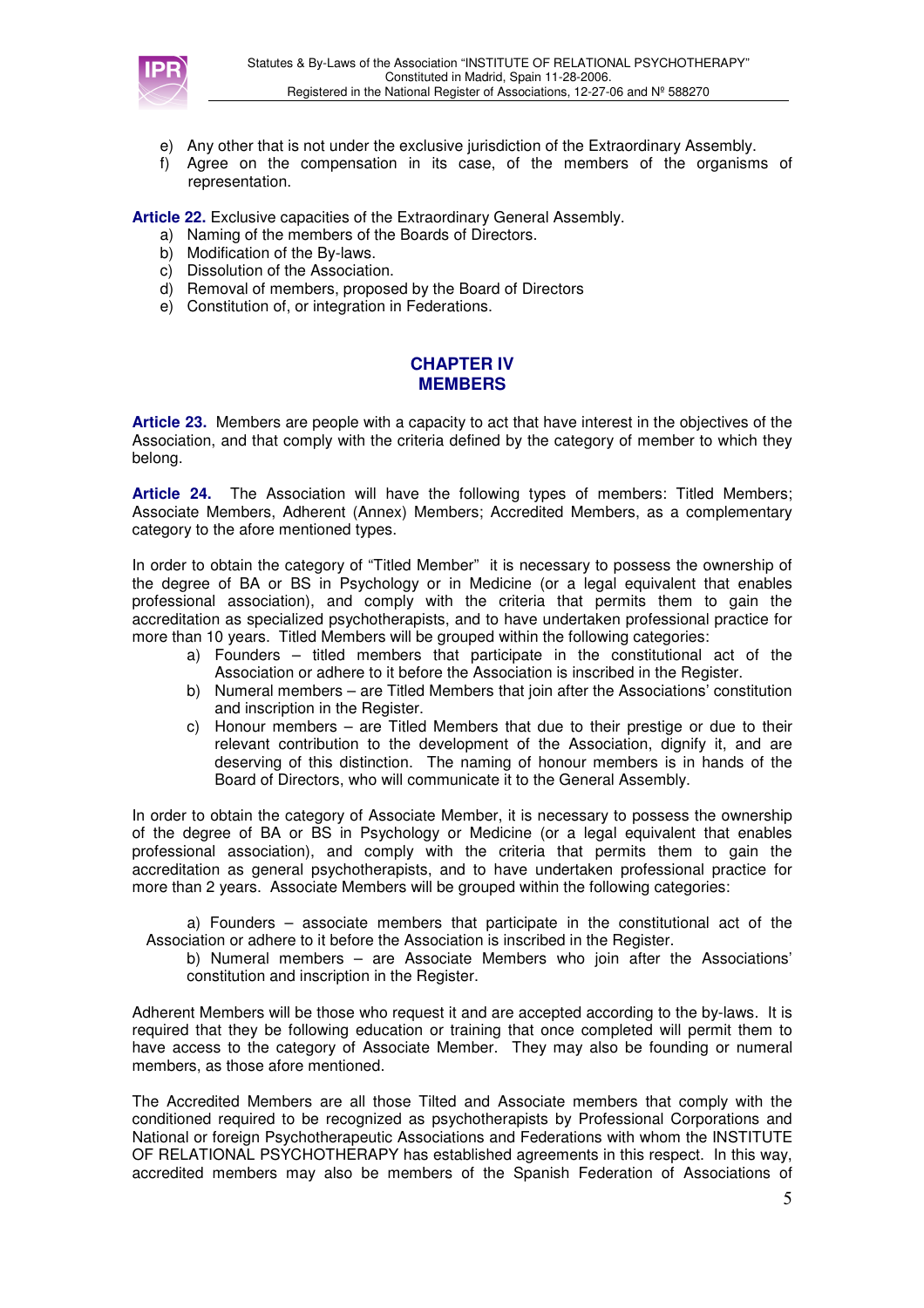

- e) Any other that is not under the exclusive jurisdiction of the Extraordinary Assembly.
- f) Agree on the compensation in its case, of the members of the organisms of representation.

**Article 22.** Exclusive capacities of the Extraordinary General Assembly.

- a) Naming of the members of the Boards of Directors.
- b) Modification of the By-laws.
- c) Dissolution of the Association.
- d) Removal of members, proposed by the Board of Directors
- e) Constitution of, or integration in Federations.

### **CHAPTER IV MEMBERS**

**Article 23.** Members are people with a capacity to act that have interest in the objectives of the Association, and that comply with the criteria defined by the category of member to which they belong.

**Article 24.** The Association will have the following types of members: Titled Members; Associate Members, Adherent (Annex) Members; Accredited Members, as a complementary category to the afore mentioned types.

In order to obtain the category of "Titled Member" it is necessary to possess the ownership of the degree of BA or BS in Psychology or in Medicine (or a legal equivalent that enables professional association), and comply with the criteria that permits them to gain the accreditation as specialized psychotherapists, and to have undertaken professional practice for more than 10 years. Titled Members will be grouped within the following categories:

- a) Founders titled members that participate in the constitutional act of the Association or adhere to it before the Association is inscribed in the Register.
- b) Numeral members are Titled Members that join after the Associations' constitution and inscription in the Register.
- c) Honour members are Titled Members that due to their prestige or due to their relevant contribution to the development of the Association, dignify it, and are deserving of this distinction. The naming of honour members is in hands of the Board of Directors, who will communicate it to the General Assembly.

In order to obtain the category of Associate Member, it is necessary to possess the ownership of the degree of BA or BS in Psychology or Medicine (or a legal equivalent that enables professional association), and comply with the criteria that permits them to gain the accreditation as general psychotherapists, and to have undertaken professional practice for more than 2 years. Associate Members will be grouped within the following categories:

a) Founders – associate members that participate in the constitutional act of the Association or adhere to it before the Association is inscribed in the Register.

b) Numeral members – are Associate Members who join after the Associations' constitution and inscription in the Register.

Adherent Members will be those who request it and are accepted according to the by-laws. It is required that they be following education or training that once completed will permit them to have access to the category of Associate Member. They may also be founding or numeral members, as those afore mentioned.

The Accredited Members are all those Tilted and Associate members that comply with the conditioned required to be recognized as psychotherapists by Professional Corporations and National or foreign Psychotherapeutic Associations and Federations with whom the INSTITUTE OF RELATIONAL PSYCHOTHERAPY has established agreements in this respect. In this way, accredited members may also be members of the Spanish Federation of Associations of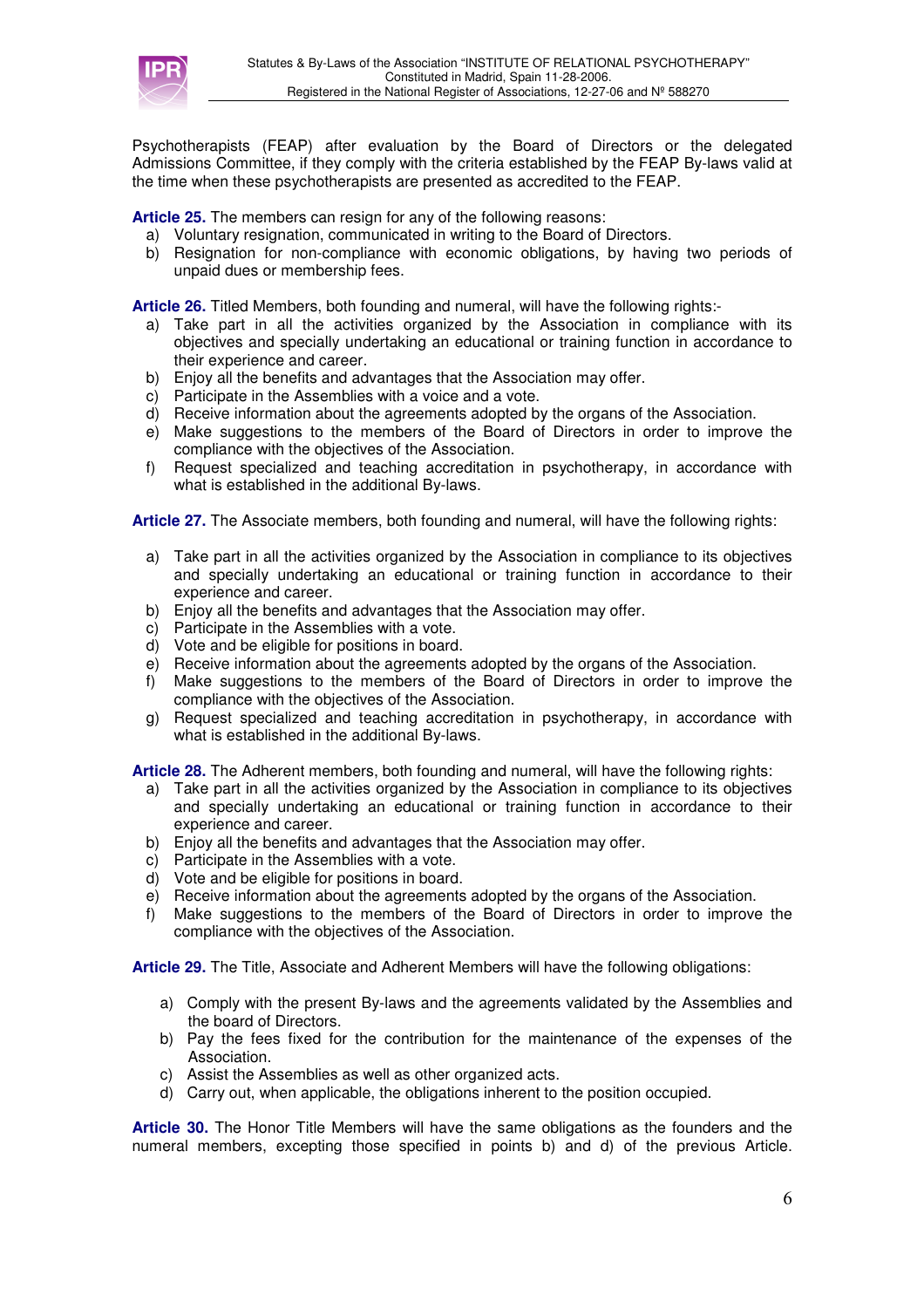

Psychotherapists (FEAP) after evaluation by the Board of Directors or the delegated Admissions Committee, if they comply with the criteria established by the FEAP By-laws valid at the time when these psychotherapists are presented as accredited to the FEAP.

**Article 25.** The members can resign for any of the following reasons:

- a) Voluntary resignation, communicated in writing to the Board of Directors.
- b) Resignation for non-compliance with economic obligations, by having two periods of unpaid dues or membership fees.

**Article 26.** Titled Members, both founding and numeral, will have the following rights:-

- a) Take part in all the activities organized by the Association in compliance with its objectives and specially undertaking an educational or training function in accordance to their experience and career.
- b) Enjoy all the benefits and advantages that the Association may offer.
- c) Participate in the Assemblies with a voice and a vote.
- d) Receive information about the agreements adopted by the organs of the Association.
- e) Make suggestions to the members of the Board of Directors in order to improve the compliance with the objectives of the Association.
- f) Request specialized and teaching accreditation in psychotherapy, in accordance with what is established in the additional By-laws.

**Article 27.** The Associate members, both founding and numeral, will have the following rights:

- a) Take part in all the activities organized by the Association in compliance to its objectives and specially undertaking an educational or training function in accordance to their experience and career.
- b) Enjoy all the benefits and advantages that the Association may offer.
- c) Participate in the Assemblies with a vote.
- d) Vote and be eligible for positions in board.
- e) Receive information about the agreements adopted by the organs of the Association.
- f) Make suggestions to the members of the Board of Directors in order to improve the compliance with the objectives of the Association.
- g) Request specialized and teaching accreditation in psychotherapy, in accordance with what is established in the additional By-laws.

**Article 28.** The Adherent members, both founding and numeral, will have the following rights:

- a) Take part in all the activities organized by the Association in compliance to its objectives and specially undertaking an educational or training function in accordance to their experience and career.
- b) Enjoy all the benefits and advantages that the Association may offer.
- c) Participate in the Assemblies with a vote.
- d) Vote and be eligible for positions in board.
- e) Receive information about the agreements adopted by the organs of the Association.
- f) Make suggestions to the members of the Board of Directors in order to improve the compliance with the objectives of the Association.

**Article 29.** The Title, Associate and Adherent Members will have the following obligations:

- a) Comply with the present By-laws and the agreements validated by the Assemblies and the board of Directors.
- b) Pay the fees fixed for the contribution for the maintenance of the expenses of the Association.
- c) Assist the Assemblies as well as other organized acts.
- d) Carry out, when applicable, the obligations inherent to the position occupied.

**Article 30.** The Honor Title Members will have the same obligations as the founders and the numeral members, excepting those specified in points b) and d) of the previous Article.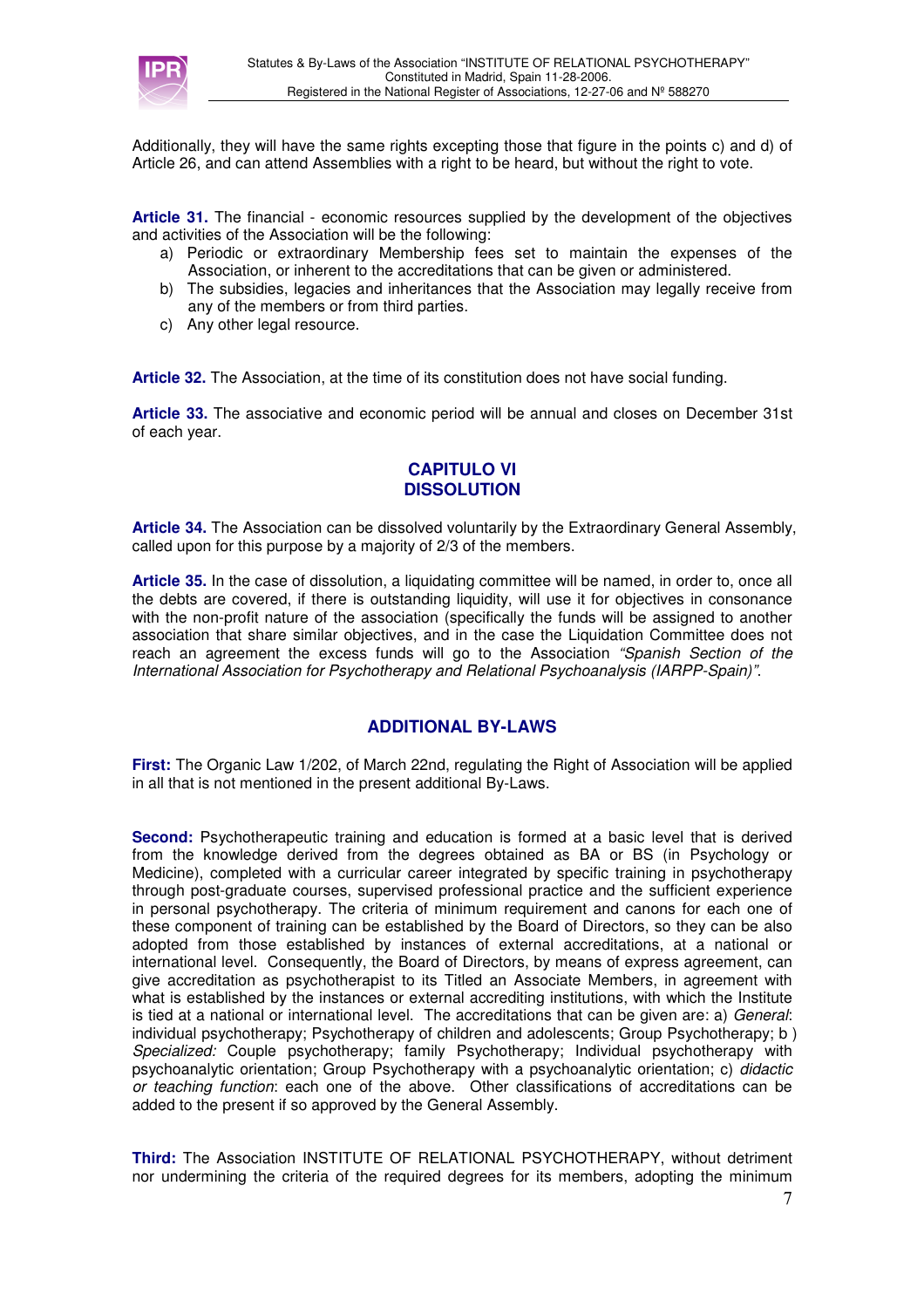

Additionally, they will have the same rights excepting those that figure in the points c) and d) of Article 26, and can attend Assemblies with a right to be heard, but without the right to vote.

**Article 31.** The financial - economic resources supplied by the development of the objectives and activities of the Association will be the following:

- a) Periodic or extraordinary Membership fees set to maintain the expenses of the Association, or inherent to the accreditations that can be given or administered.
- b) The subsidies, legacies and inheritances that the Association may legally receive from any of the members or from third parties.
- c) Any other legal resource.

**Article 32.** The Association, at the time of its constitution does not have social funding.

**Article 33.** The associative and economic period will be annual and closes on December 31st of each year.

### **CAPITULO VI DISSOLUTION**

**Article 34.** The Association can be dissolved voluntarily by the Extraordinary General Assembly, called upon for this purpose by a majority of 2/3 of the members.

**Article 35.** In the case of dissolution, a liquidating committee will be named, in order to, once all the debts are covered, if there is outstanding liquidity, will use it for objectives in consonance with the non-profit nature of the association (specifically the funds will be assigned to another association that share similar objectives, and in the case the Liquidation Committee does not reach an agreement the excess funds will go to the Association "Spanish Section of the International Association for Psychotherapy and Relational Psychoanalysis (IARPP-Spain)".

### **ADDITIONAL BY-LAWS**

**First:** The Organic Law 1/202, of March 22nd, regulating the Right of Association will be applied in all that is not mentioned in the present additional By-Laws.

**Second:** Psychotherapeutic training and education is formed at a basic level that is derived from the knowledge derived from the degrees obtained as BA or BS (in Psychology or Medicine), completed with a curricular career integrated by specific training in psychotherapy through post-graduate courses, supervised professional practice and the sufficient experience in personal psychotherapy. The criteria of minimum requirement and canons for each one of these component of training can be established by the Board of Directors, so they can be also adopted from those established by instances of external accreditations, at a national or international level. Consequently, the Board of Directors, by means of express agreement, can give accreditation as psychotherapist to its Titled an Associate Members, in agreement with what is established by the instances or external accrediting institutions, with which the Institute is tied at a national or international level. The accreditations that can be given are: a) General: individual psychotherapy; Psychotherapy of children and adolescents; Group Psychotherapy; b ) Specialized: Couple psychotherapy; family Psychotherapy; Individual psychotherapy with psychoanalytic orientation; Group Psychotherapy with a psychoanalytic orientation; c) didactic or teaching function: each one of the above. Other classifications of accreditations can be added to the present if so approved by the General Assembly.

**Third:** The Association INSTITUTE OF RELATIONAL PSYCHOTHERAPY, without detriment nor undermining the criteria of the required degrees for its members, adopting the minimum